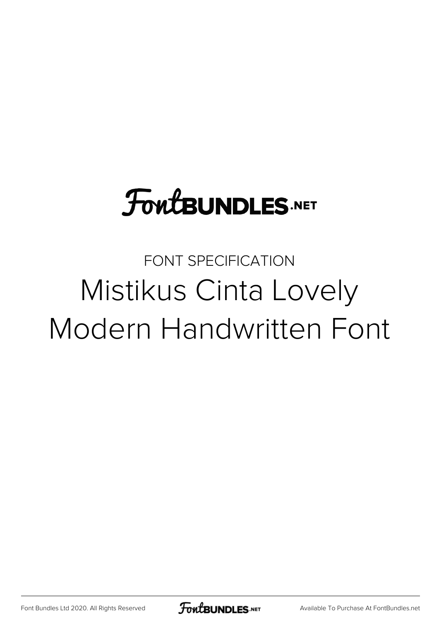# **FoutBUNDLES.NET**

## FONT SPECIFICATION Mistikus Cinta Lovely Modern Handwritten Font

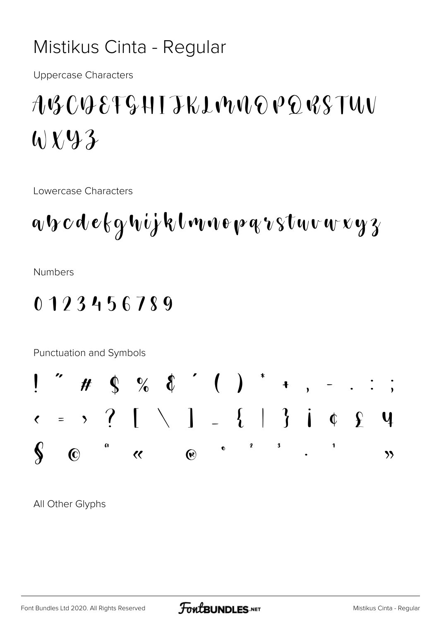### Mistikus Cinta - Regular

**Uppercase Characters** 

## $A\mathcal{B}C\mathcal{C}B8T\mathcal{G}HTJKL\mathcal{W}UQ\mathcal{P}Q\mathcal{R}STU\mathcal{U}$  $V \rightarrow \mathcal{L}$

Lowercase Characters

$$
a\mathbf{v}\mathbf{c}\mathbf{d}\mathbf{e}\mathbf{k}\mathbf{y}\mathbf{v}\mathbf{i}\mathbf{j}\mathbf{k}\mathbf{l}\mathbf{w}\mathbf{v}\mathbf{e}\mathbf{p}\mathbf{q}\mathbf{v}\mathbf{s}\mathbf{t}\mathbf{w}\mathbf{v}\mathbf{w}\mathbf{x}\mathbf{y}\mathbf{z}
$$

**Numbers** 

### 0123456789

Punctuation and Symbols



All Other Glyphs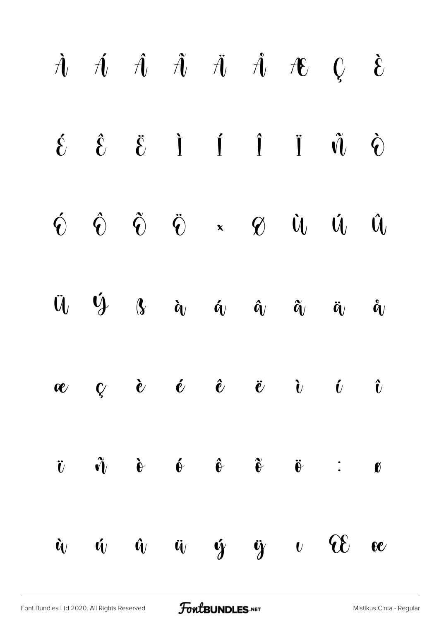